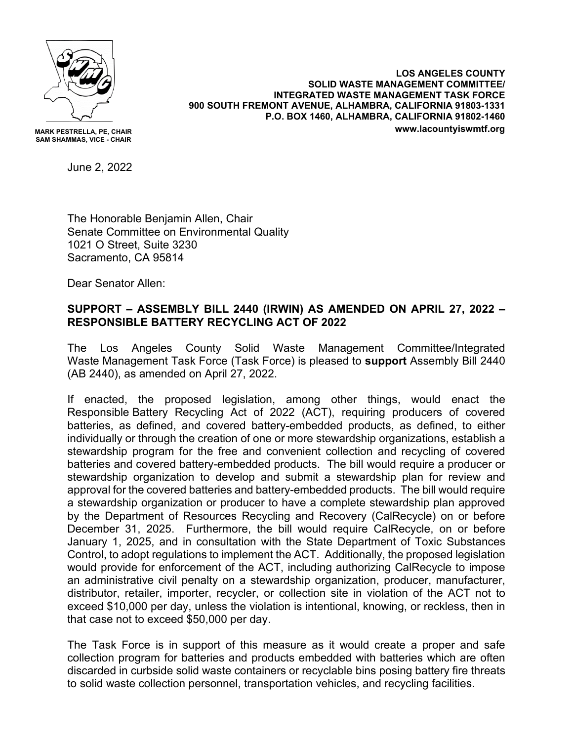

**MARK PESTRELLA, PE, CHAIR SAM SHAMMAS, VICE - CHAIR**

**LOS ANGELES COUNTY SOLID WASTE MANAGEMENT COMMITTEE/ INTEGRATED WASTE MANAGEMENT TASK FORCE 900 SOUTH FREMONT AVENUE, ALHAMBRA, CALIFORNIA 91803-1331 P.O. BOX 1460, ALHAMBRA, CALIFORNIA 91802-1460 www.lacountyiswmtf.org**

June 2, 2022

The Honorable Benjamin Allen, Chair Senate Committee on Environmental Quality 1021 O Street, Suite 3230 Sacramento, CA 95814

Dear Senator Allen:

## **SUPPORT – ASSEMBLY BILL 2440 (IRWIN) AS AMENDED ON APRIL 27, 2022 – RESPONSIBLE BATTERY RECYCLING ACT OF 2022**

The Los Angeles County Solid Waste Management Committee/Integrated Waste Management Task Force (Task Force) is pleased to **support** Assembly Bill 2440 (AB 2440), as amended on April 27, 2022.

If enacted, the proposed legislation, among other things, would enact the Responsible Battery Recycling Act of 2022 (ACT), requiring producers of covered batteries, as defined, and covered battery-embedded products, as defined, to either individually or through the creation of one or more stewardship organizations, establish a stewardship program for the free and convenient collection and recycling of covered batteries and covered battery-embedded products. The bill would require a producer or stewardship organization to develop and submit a stewardship plan for review and approval for the covered batteries and battery-embedded products. The bill would require a stewardship organization or producer to have a complete stewardship plan approved by the Department of Resources Recycling and Recovery (CalRecycle) on or before December 31, 2025. Furthermore, the bill would require CalRecycle, on or before January 1, 2025, and in consultation with the State Department of Toxic Substances Control, to adopt regulations to implement the ACT. Additionally, the proposed legislation would provide for enforcement of the ACT, including authorizing CalRecycle to impose an administrative civil penalty on a stewardship organization, producer, manufacturer, distributor, retailer, importer, recycler, or collection site in violation of the ACT not to exceed \$10,000 per day, unless the violation is intentional, knowing, or reckless, then in that case not to exceed \$50,000 per day.

The Task Force is in support of this measure as it would create a proper and safe collection program for batteries and products embedded with batteries which are often discarded in curbside solid waste containers or recyclable bins posing battery fire threats to solid waste collection personnel, transportation vehicles, and recycling facilities.